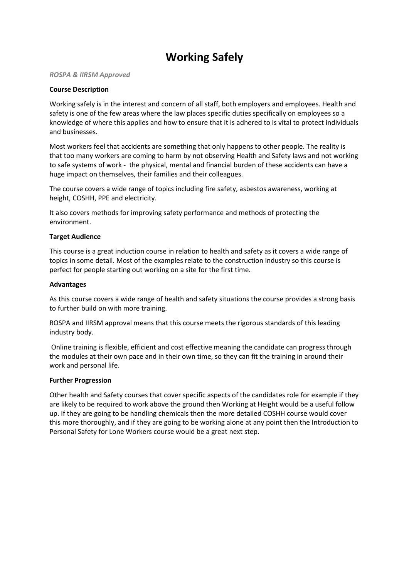# **Working Safely**

#### *ROSPA & IIRSM Approved*

### **Course Description**

Working safely is in the interest and concern of all staff, both employers and employees. Health and safety is one of the few areas where the law places specific duties specifically on employees so a knowledge of where this applies and how to ensure that it is adhered to is vital to protect individuals and businesses.

Most workers feel that accidents are something that only happens to other people. The reality is that too many workers are coming to harm by not observing Health and Safety laws and not working to safe systems of work - the physical, mental and financial burden of these accidents can have a huge impact on themselves, their families and their colleagues.

The course covers a wide range of topics including fire safety, asbestos awareness, working at height, COSHH, PPE and electricity.

It also covers methods for improving safety performance and methods of protecting the environment.

#### **Target Audience**

This course is a great induction course in relation to health and safety as it covers a wide range of topics in some detail. Most of the examples relate to the construction industry so this course is perfect for people starting out working on a site for the first time.

#### **Advantages**

As this course covers a wide range of health and safety situations the course provides a strong basis to further build on with more training.

ROSPA and IIRSM approval means that this course meets the rigorous standards of this leading industry body.

Online training is flexible, efficient and cost effective meaning the candidate can progress through the modules at their own pace and in their own time, so they can fit the training in around their work and personal life.

#### **Further Progression**

Other health and Safety courses that cover specific aspects of the candidates role for example if they are likely to be required to work above the ground then Working at Height would be a useful follow up. If they are going to be handling chemicals then the more detailed COSHH course would cover this more thoroughly, and if they are going to be working alone at any point then the Introduction to Personal Safety for Lone Workers course would be a great next step.